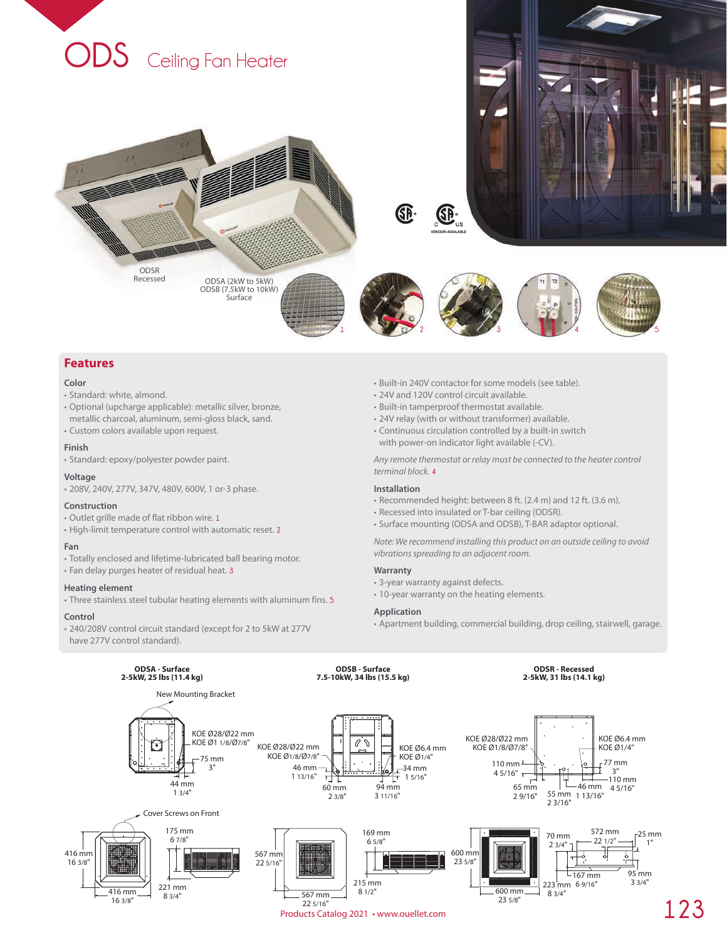

## **Features**

#### **Color**

- Standard: white, almond.
- Optional (upcharge applicable): metallic silver, bronze, metallic charcoal, aluminum, semi-gloss black, sand.
- Custom colors available upon request.

## **Finish**

• Standard: epoxy/polyester powder paint.

### **Voltage**

• 208V, 240V, 277V, 347V, 480V, 600V, 1 or-3 phase.

#### **Construction**

- Outlet grille made of flat ribbon wire. **1**
- High-limit temperature control with automatic reset. **2**

#### **Fan**

- Totally enclosed and lifetime-lubricated ball bearing motor.
- Fan delay purges heater of residual heat. **3**

## **Heating element**

• Three stainless steel tubular heating elements with aluminum fins. **5**

#### **Control**

• 240/208V control circuit standard (except for 2 to 5kW at 277V have 277V control standard).

- Built-in 240V contactor for some models (see table).
- 24V and 120V control circuit available.
- Built-in tamperproof thermostat available.
- 24V relay (with or without transformer) available.
- Continuous circulation controlled by a built-in switch with power-on indicator light available (-CV).

*Any remote thermostat or relay must be connected to the heater control terminal block.* **4**

## **Installation**

- Recommended height: between 8 ft. (2.4 m) and 12 ft. (3.6 m).
- Recessed into insulated or T-bar ceiling (ODSR).
- Surface mounting (ODSA and ODSB), T-BAR adaptor optional.

*Note: We recommend installing this product on an outside ceiling to avoid vibrations spreading to an adjacent room.*

#### **Warranty**

- 3-year warranty against defects.
- 10-year warranty on the heating elements.

## **Application**

• Apartment building, commercial building, drop ceiling, stairwell, garage.